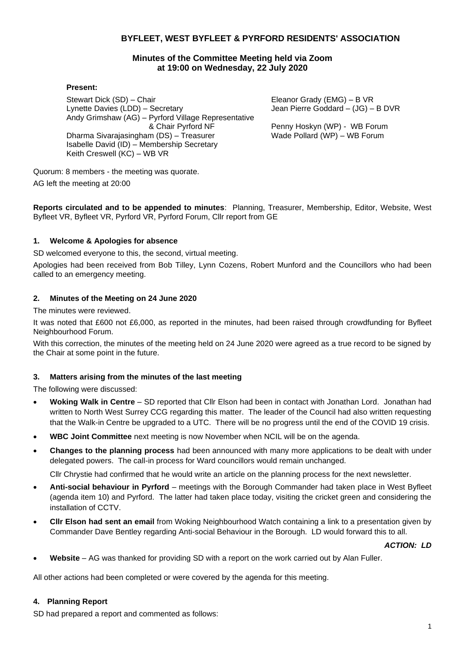# **BYFLEET, WEST BYFLEET & PYRFORD RESIDENTS' ASSOCIATION**

# **Minutes of the Committee Meeting held via Zoom at 19:00 on Wednesday, 22 July 2020**

### **Present:**

Stewart Dick (SD) – Chair Lynette Davies (LDD) – Secretary Andy Grimshaw (AG) – Pyrford Village Representative & Chair Pyrford NF Dharma Sivarajasingham (DS) – Treasurer Isabelle David (ID) – Membership Secretary Keith Creswell (KC) – WB VR

Eleanor Grady (EMG) – B VR Jean Pierre Goddard – (JG) – B DVR

Penny Hoskyn (WP) - WB Forum Wade Pollard (WP) – WB Forum

Quorum: 8 members - the meeting was quorate.

AG left the meeting at 20:00

**Reports circulated and to be appended to minutes**: Planning, Treasurer, Membership, Editor, Website, West Byfleet VR, Byfleet VR, Pyrford VR, Pyrford Forum, Cllr report from GE

# **1. Welcome & Apologies for absence**

SD welcomed everyone to this, the second, virtual meeting.

Apologies had been received from Bob Tilley, Lynn Cozens, Robert Munford and the Councillors who had been called to an emergency meeting.

# **2. Minutes of the Meeting on 24 June 2020**

The minutes were reviewed.

It was noted that £600 not £6,000, as reported in the minutes, had been raised through crowdfunding for Byfleet Neighbourhood Forum.

With this correction, the minutes of the meeting held on 24 June 2020 were agreed as a true record to be signed by the Chair at some point in the future.

### **3. Matters arising from the minutes of the last meeting**

The following were discussed:

- **Woking Walk in Centre** SD reported that Cllr Elson had been in contact with Jonathan Lord. Jonathan had written to North West Surrey CCG regarding this matter. The leader of the Council had also written requesting that the Walk-in Centre be upgraded to a UTC. There will be no progress until the end of the COVID 19 crisis.
- **WBC Joint Committee** next meeting is now November when NCIL will be on the agenda.
- **Changes to the planning process** had been announced with many more applications to be dealt with under delegated powers. The call-in process for Ward councillors would remain unchanged.

Cllr Chrystie had confirmed that he would write an article on the planning process for the next newsletter.

- **Anti-social behaviour in Pyrford** meetings with the Borough Commander had taken place in West Byfleet (agenda item 10) and Pyrford. The latter had taken place today, visiting the cricket green and considering the installation of CCTV.
- **Cllr Elson had sent an email** from Woking Neighbourhood Watch containing a link to a presentation given by Commander Dave Bentley regarding Anti-social Behaviour in the Borough. LD would forward this to all.

### *ACTION: LD*

• **Website** – AG was thanked for providing SD with a report on the work carried out by Alan Fuller.

All other actions had been completed or were covered by the agenda for this meeting.

### **4. Planning Report**

SD had prepared a report and commented as follows: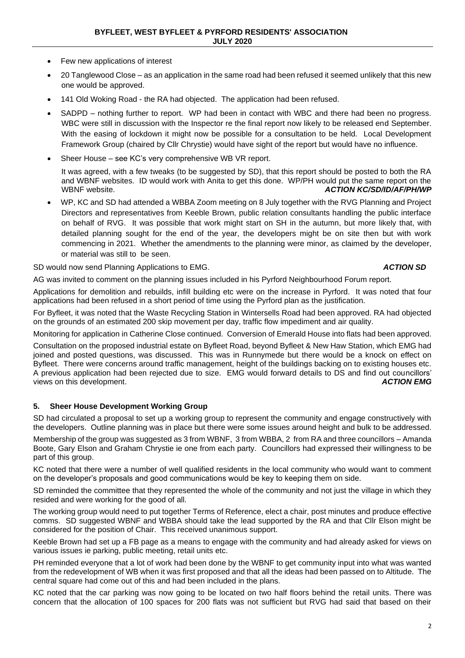- Few new applications of interest
- 20 Tanglewood Close as an application in the same road had been refused it seemed unlikely that this new one would be approved.
- 141 Old Woking Road the RA had objected. The application had been refused.
- SADPD nothing further to report. WP had been in contact with WBC and there had been no progress. WBC were still in discussion with the Inspector re the final report now likely to be released end September. With the easing of lockdown it might now be possible for a consultation to be held. Local Development Framework Group (chaired by Cllr Chrystie) would have sight of the report but would have no influence.
- Sheer House see KC's very comprehensive WB VR report.

It was agreed, with a few tweaks (to be suggested by SD), that this report should be posted to both the RA and WBNF websites. ID would work with Anita to get this done. WP/PH would put the same report on the WBNF website. **ACTION KC/SD/ID/AF/PH/WP** 

• WP, KC and SD had attended a WBBA Zoom meeting on 8 July together with the RVG Planning and Project Directors and representatives from Keeble Brown, public relation consultants handling the public interface on behalf of RVG. It was possible that work might start on SH in the autumn, but more likely that, with detailed planning sought for the end of the year, the developers might be on site then but with work commencing in 2021. Whether the amendments to the planning were minor, as claimed by the developer, or material was still to be seen.

SD would now send Planning Applications to EMG. *ACTION SD*

AG was invited to comment on the planning issues included in his Pyrford Neighbourhood Forum report.

Applications for demolition and rebuilds, infill building etc were on the increase in Pyrford. It was noted that four applications had been refused in a short period of time using the Pyrford plan as the justification.

For Byfleet, it was noted that the Waste Recycling Station in Wintersells Road had been approved. RA had objected on the grounds of an estimated 200 skip movement per day, traffic flow impediment and air quality.

Monitoring for application in Catherine Close continued. Conversion of Emerald House into flats had been approved.

Consultation on the proposed industrial estate on Byfleet Road, beyond Byfleet & New Haw Station, which EMG had joined and posted questions, was discussed. This was in Runnymede but there would be a knock on effect on Byfleet. There were concerns around traffic management, height of the buildings backing on to existing houses etc. A previous application had been rejected due to size. EMG would forward details to DS and find out councillors'<br>ACTION EMG views on this development.

### **5. Sheer House Development Working Group**

SD had circulated a proposal to set up a working group to represent the community and engage constructively with the developers. Outline planning was in place but there were some issues around height and bulk to be addressed.

Membership of the group was suggested as 3 from WBNF, 3 from WBBA, 2 from RA and three councillors – Amanda Boote, Gary Elson and Graham Chrystie ie one from each party. Councillors had expressed their willingness to be part of this group.

KC noted that there were a number of well qualified residents in the local community who would want to comment on the developer's proposals and good communications would be key to keeping them on side.

SD reminded the committee that they represented the whole of the community and not just the village in which they resided and were working for the good of all.

The working group would need to put together Terms of Reference, elect a chair, post minutes and produce effective comms. SD suggested WBNF and WBBA should take the lead supported by the RA and that Cllr Elson might be considered for the position of Chair. This received unanimous support.

Keeble Brown had set up a FB page as a means to engage with the community and had already asked for views on various issues ie parking, public meeting, retail units etc.

PH reminded everyone that a lot of work had been done by the WBNF to get community input into what was wanted from the redevelopment of WB when it was first proposed and that all the ideas had been passed on to Altitude. The central square had come out of this and had been included in the plans.

KC noted that the car parking was now going to be located on two half floors behind the retail units. There was concern that the allocation of 100 spaces for 200 flats was not sufficient but RVG had said that based on their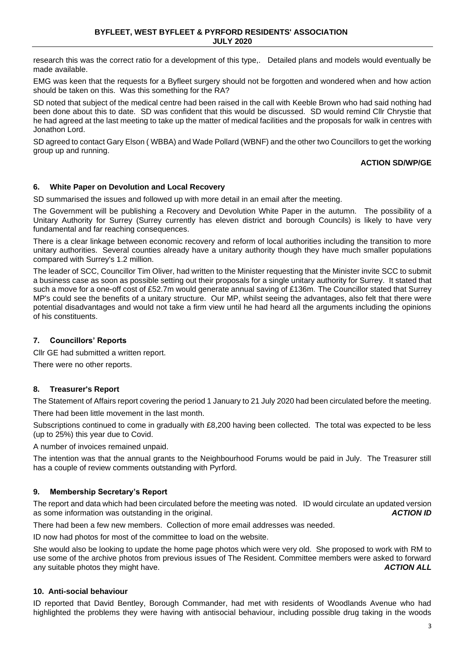research this was the correct ratio for a development of this type,. Detailed plans and models would eventually be made available.

EMG was keen that the requests for a Byfleet surgery should not be forgotten and wondered when and how action should be taken on this. Was this something for the RA?

SD noted that subject of the medical centre had been raised in the call with Keeble Brown who had said nothing had been done about this to date. SD was confident that this would be discussed. SD would remind Cllr Chrystie that he had agreed at the last meeting to take up the matter of medical facilities and the proposals for walk in centres with Jonathon Lord.

SD agreed to contact Gary Elson ( WBBA) and Wade Pollard (WBNF) and the other two Councillors to get the working group up and running.

# **ACTION SD/WP/GE**

# **6. White Paper on Devolution and Local Recovery**

SD summarised the issues and followed up with more detail in an email after the meeting.

The Government will be publishing a Recovery and Devolution White Paper in the autumn. The possibility of a Unitary Authority for Surrey (Surrey currently has eleven district and borough Councils) is likely to have very fundamental and far reaching consequences.

There is a clear linkage between economic recovery and reform of local authorities including the transition to more unitary authorities. Several counties already have a unitary authority though they have much smaller populations compared with Surrey's 1.2 million.

The leader of SCC, Councillor Tim Oliver, had written to the Minister requesting that the Minister invite SCC to submit a business case as soon as possible setting out their proposals for a single unitary authority for Surrey. It stated that such a move for a one-off cost of £52.7m would generate annual saving of £136m. The Councillor stated that Surrey MP's could see the benefits of a unitary structure. Our MP, whilst seeing the advantages, also felt that there were potential disadvantages and would not take a firm view until he had heard all the arguments including the opinions of his constituents.

# **7. Councillors' Reports**

Cllr GE had submitted a written report.

There were no other reports.

### **8. Treasurer's Report**

The Statement of Affairs report covering the period 1 January to 21 July 2020 had been circulated before the meeting.

There had been little movement in the last month.

Subscriptions continued to come in gradually with £8,200 having been collected. The total was expected to be less (up to 25%) this year due to Covid.

A number of invoices remained unpaid.

The intention was that the annual grants to the Neighbourhood Forums would be paid in July. The Treasurer still has a couple of review comments outstanding with Pyrford.

### **9. Membership Secretary's Report**

The report and data which had been circulated before the meeting was noted. ID would circulate an updated version as some information was outstanding in the original. *ACTION ID*

There had been a few new members. Collection of more email addresses was needed.

ID now had photos for most of the committee to load on the website.

She would also be looking to update the home page photos which were very old. She proposed to work with RM to use some of the archive photos from previous issues of The Resident. Committee members were asked to forward any suitable photos they might have. *ACTION ALL*

### **10. Anti-social behaviour**

ID reported that David Bentley, Borough Commander, had met with residents of Woodlands Avenue who had highlighted the problems they were having with antisocial behaviour, including possible drug taking in the woods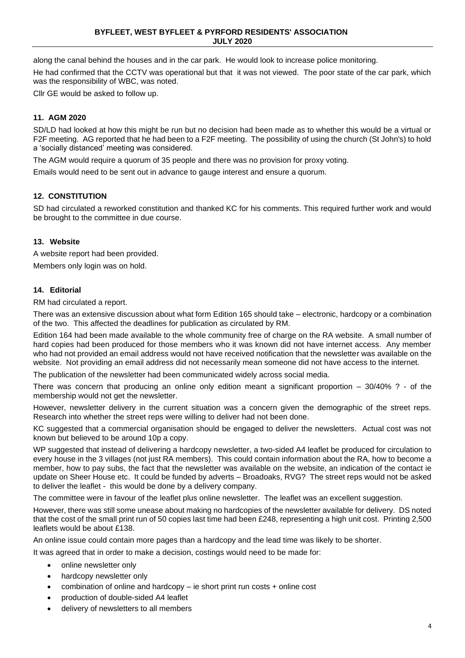along the canal behind the houses and in the car park. He would look to increase police monitoring.

He had confirmed that the CCTV was operational but that it was not viewed. The poor state of the car park, which was the responsibility of WBC, was noted.

Cllr GE would be asked to follow up.

# **11. AGM 2020**

SD/LD had looked at how this might be run but no decision had been made as to whether this would be a virtual or F2F meeting. AG reported that he had been to a F2F meeting. The possibility of using the church (St John's) to hold a 'socially distanced' meeting was considered.

The AGM would require a quorum of 35 people and there was no provision for proxy voting.

Emails would need to be sent out in advance to gauge interest and ensure a quorum.

# **12. CONSTITUTION**

SD had circulated a reworked constitution and thanked KC for his comments. This required further work and would be brought to the committee in due course.

### **13. Website**

A website report had been provided.

Members only login was on hold.

### **14. Editorial**

RM had circulated a report.

There was an extensive discussion about what form Edition 165 should take – electronic, hardcopy or a combination of the two. This affected the deadlines for publication as circulated by RM.

Edition 164 had been made available to the whole community free of charge on the RA website. A small number of hard copies had been produced for those members who it was known did not have internet access. Any member who had not provided an email address would not have received notification that the newsletter was available on the website. Not providing an email address did not necessarily mean someone did not have access to the internet.

The publication of the newsletter had been communicated widely across social media.

There was concern that producing an online only edition meant a significant proportion – 30/40% ? - of the membership would not get the newsletter.

However, newsletter delivery in the current situation was a concern given the demographic of the street reps. Research into whether the street reps were willing to deliver had not been done.

KC suggested that a commercial organisation should be engaged to deliver the newsletters. Actual cost was not known but believed to be around 10p a copy.

WP suggested that instead of delivering a hardcopy newsletter, a two-sided A4 leaflet be produced for circulation to every house in the 3 villages (not just RA members). This could contain information about the RA, how to become a member, how to pay subs, the fact that the newsletter was available on the website, an indication of the contact ie update on Sheer House etc. It could be funded by adverts – Broadoaks, RVG? The street reps would not be asked to deliver the leaflet - this would be done by a delivery company.

The committee were in favour of the leaflet plus online newsletter. The leaflet was an excellent suggestion.

However, there was still some unease about making no hardcopies of the newsletter available for delivery. DS noted that the cost of the small print run of 50 copies last time had been £248, representing a high unit cost. Printing 2,500 leaflets would be about £138.

An online issue could contain more pages than a hardcopy and the lead time was likely to be shorter.

It was agreed that in order to make a decision, costings would need to be made for:

- online newsletter only
- hardcopy newsletter only
- combination of online and hardcopy ie short print run costs + online cost
- production of double-sided A4 leaflet
- delivery of newsletters to all members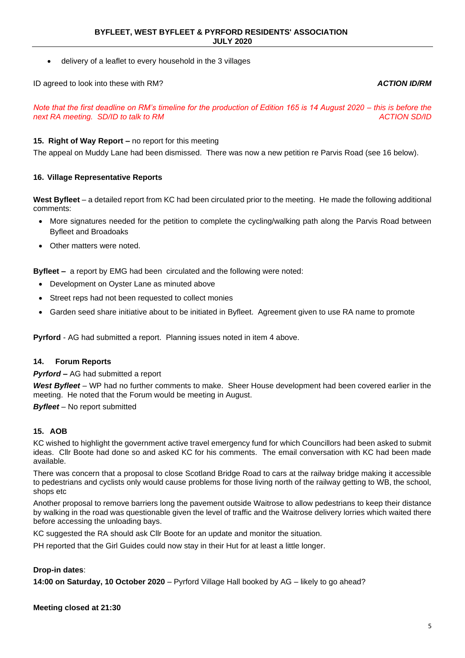• delivery of a leaflet to every household in the 3 villages

ID agreed to look into these with RM? *ACTION ID/RM*

*Note that the first deadline on RM's timeline for the production of Edition 165 is 14 August 2020 – this is before the next RA meeting. SD/ID to talk to RM ACTION SD/ID* 

# **15. Right of Way Report –** no report for this meeting

The appeal on Muddy Lane had been dismissed. There was now a new petition re Parvis Road (see 16 below).

# **16. Village Representative Reports**

**West Byfleet** – a detailed report from KC had been circulated prior to the meeting. He made the following additional comments:

- More signatures needed for the petition to complete the cycling/walking path along the Parvis Road between Byfleet and Broadoaks
- Other matters were noted.

**Byfleet –** a report by EMG had been circulated and the following were noted:

- Development on Oyster Lane as minuted above
- Street reps had not been requested to collect monies
- Garden seed share initiative about to be initiated in Byfleet. Agreement given to use RA name to promote

**Pyrford** - AG had submitted a report. Planning issues noted in item 4 above.

### **14. Forum Reports**

*Pyrford –* AG had submitted a report

*West Byfleet* – WP had no further comments to make. Sheer House development had been covered earlier in the meeting. He noted that the Forum would be meeting in August.

*Byfleet* – No report submitted

### **15. AOB**

KC wished to highlight the government active travel emergency fund for which Councillors had been asked to submit ideas. Cllr Boote had done so and asked KC for his comments. The email conversation with KC had been made available.

There was concern that a proposal to close Scotland Bridge Road to cars at the railway bridge making it accessible to pedestrians and cyclists only would cause problems for those living north of the railway getting to WB, the school, shops etc

Another proposal to remove barriers long the pavement outside Waitrose to allow pedestrians to keep their distance by walking in the road was questionable given the level of traffic and the Waitrose delivery lorries which waited there before accessing the unloading bays.

KC suggested the RA should ask Cllr Boote for an update and monitor the situation.

PH reported that the Girl Guides could now stay in their Hut for at least a little longer.

### **Drop-in dates**:

**14:00 on Saturday, 10 October 2020** – Pyrford Village Hall booked by AG – likely to go ahead?

**Meeting closed at 21:30**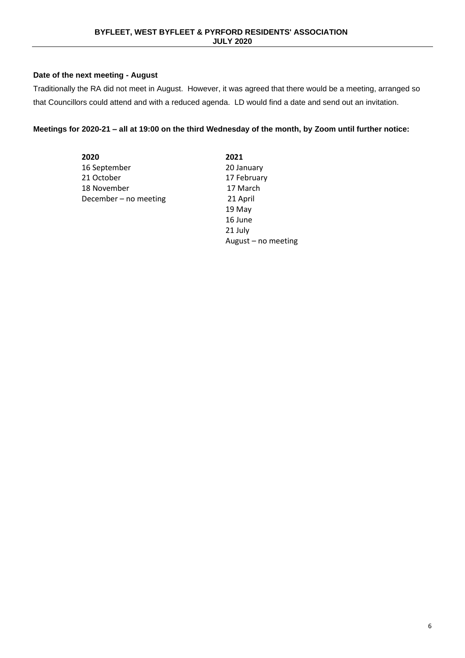# **Date of the next meeting - August**

Traditionally the RA did not meet in August. However, it was agreed that there would be a meeting, arranged so that Councillors could attend and with a reduced agenda. LD would find a date and send out an invitation.

# **Meetings for 2020-21 – all at 19:00 on the third Wednesday of the month, by Zoom until further notice:**

| 2021                |
|---------------------|
| 20 January          |
| 17 February         |
| 17 March            |
| 21 April            |
| 19 May              |
| 16 June             |
| 21 July             |
| August - no meeting |
|                     |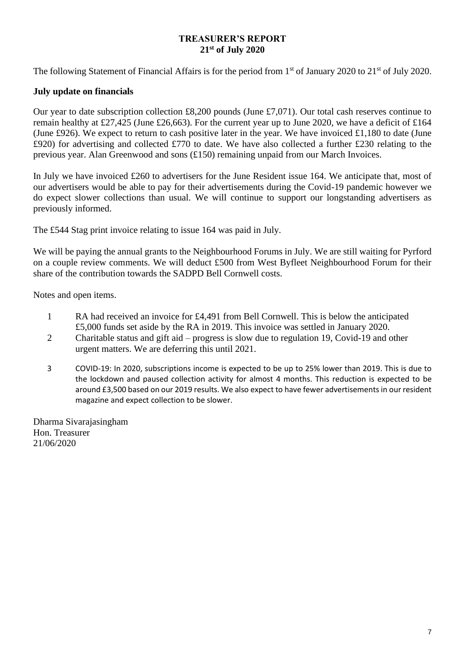# **TREASURER'S REPORT 21st of July 2020**

The following Statement of Financial Affairs is for the period from 1<sup>st</sup> of January 2020 to 21<sup>st</sup> of July 2020.

# **July update on financials**

Our year to date subscription collection £8,200 pounds (June £7,071). Our total cash reserves continue to remain healthy at £27,425 (June £26,663). For the current year up to June 2020, we have a deficit of £164 (June £926). We expect to return to cash positive later in the year. We have invoiced £1,180 to date (June £920) for advertising and collected £770 to date. We have also collected a further £230 relating to the previous year. Alan Greenwood and sons (£150) remaining unpaid from our March Invoices.

In July we have invoiced £260 to advertisers for the June Resident issue 164. We anticipate that, most of our advertisers would be able to pay for their advertisements during the Covid-19 pandemic however we do expect slower collections than usual. We will continue to support our longstanding advertisers as previously informed.

The £544 Stag print invoice relating to issue 164 was paid in July.

We will be paying the annual grants to the Neighbourhood Forums in July. We are still waiting for Pyrford on a couple review comments. We will deduct £500 from West Byfleet Neighbourhood Forum for their share of the contribution towards the SADPD Bell Cornwell costs.

Notes and open items.

- 1 RA had received an invoice for £4,491 from Bell Cornwell. This is below the anticipated £5,000 funds set aside by the RA in 2019. This invoice was settled in January 2020.
- 2 Charitable status and gift aid progress is slow due to regulation 19, Covid-19 and other urgent matters. We are deferring this until 2021.
- 3 COVID-19: In 2020, subscriptions income is expected to be up to 25% lower than 2019. This is due to the lockdown and paused collection activity for almost 4 months. This reduction is expected to be around £3,500 based on our 2019 results. We also expect to have fewer advertisements in our resident magazine and expect collection to be slower.

Dharma Sivarajasingham Hon. Treasurer 21/06/2020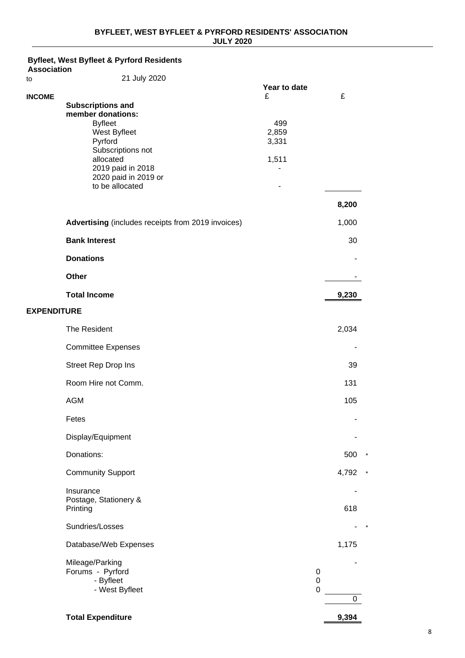#### **Byfleet, West Byfleet & Pyrford Residents Association** to 21 July 2020 **Year to date INCOME** £ £ **Subscriptions and member donations:** Byfleet 499<br>West Byfleet 1999 - 1999 - 1999 - 1999 - 1999 - 1999 - 1999 - 1999 - 1999 - 1999 - 1999 - 1999 - 1999 - 1999 -West Byfleet 2,859<br>Pyrford 2,331 Pyrford Subscriptions not allocated 1,511 2019 paid in 2018 - 2020 paid in 2019 or to be allocated **-8,200 Advertising** (includes receipts from 2019 invoices) 1,000 **Bank Interest** 30 **Donations** - **Other** - **Total Income 9,230 EXPENDITURE** The Resident 2,034 Committee Expenses - Street Rep Drop Ins 39 Room Hire not Comm. 131 AGM 105 Fetes - Display/Equipment - Donations: 500 \* Community Support 4,792 \* Insurance - Postage, Stationery & Printing 618 Sundries/Losses  $-$  \* Database/Web Expenses 1,175 Mileage/Parking - Forums - Pyrford 0 - Byfleet 0 - West Byfleet 0 0 **Total Expenditure 9,394**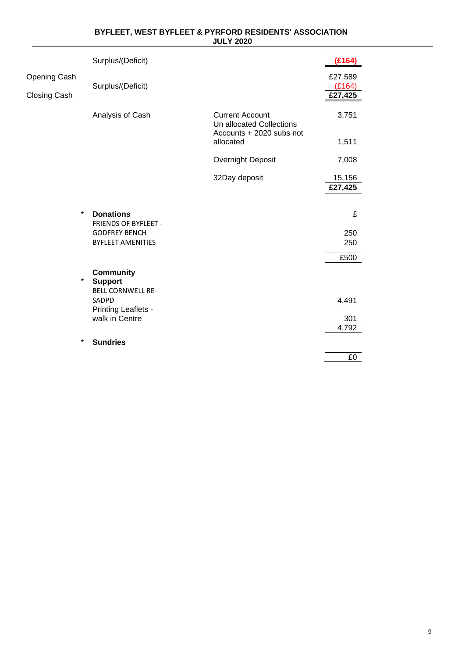|                              | Surplus/(Deficit)                                              |                                                                                | (E164)                       |
|------------------------------|----------------------------------------------------------------|--------------------------------------------------------------------------------|------------------------------|
| Opening Cash<br>Closing Cash | Surplus/(Deficit)                                              |                                                                                | £27,589<br>(E164)<br>£27,425 |
|                              | Analysis of Cash                                               | <b>Current Account</b><br>Un allocated Collections<br>Accounts + 2020 subs not | 3,751                        |
|                              |                                                                | allocated                                                                      | 1,511                        |
|                              |                                                                | Overnight Deposit                                                              | 7,008                        |
|                              |                                                                | 32Day deposit                                                                  | 15,156<br>£27,425            |
| $\star$                      | <b>Donations</b><br><b>FRIENDS OF BYFLEET -</b>                |                                                                                | £                            |
|                              | <b>GODFREY BENCH</b><br><b>BYFLEET AMENITIES</b>               |                                                                                | 250<br>250                   |
|                              |                                                                |                                                                                | £500                         |
| $\star$                      | <b>Community</b><br><b>Support</b><br><b>BELL CORNWELL RE-</b> |                                                                                |                              |
|                              | SADPD<br>Printing Leaflets -                                   |                                                                                | 4,491                        |
|                              | walk in Centre                                                 |                                                                                | 301<br>4,792                 |
| $\star$                      | <b>Sundries</b>                                                |                                                                                |                              |
|                              |                                                                |                                                                                | £0                           |

### **BYFLEET, WEST BYFLEET & PYRFORD RESIDENTS' ASSOCIATION JULY 2020**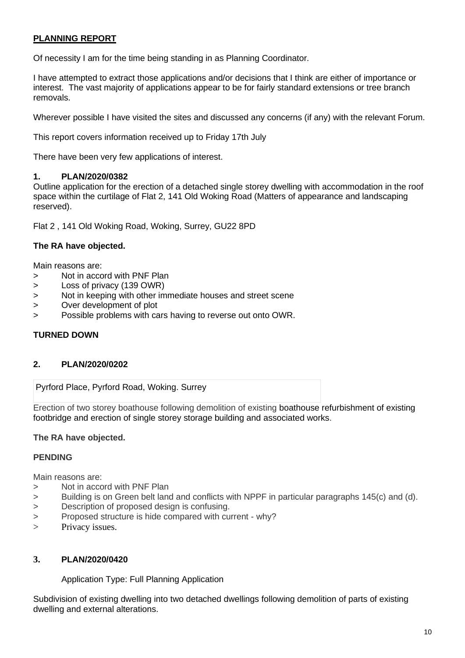# **PLANNING REPORT**

Of necessity I am for the time being standing in as Planning Coordinator.

I have attempted to extract those applications and/or decisions that I think are either of importance or interest. The vast majority of applications appear to be for fairly standard extensions or tree branch removals.

Wherever possible I have visited the sites and discussed any concerns (if any) with the relevant Forum.

This report covers information received up to Friday 17th July

There have been very few applications of interest.

# **1. PLAN/2020/0382**

Outline application for the erection of a detached single storey dwelling with accommodation in the roof space within the curtilage of Flat 2, 141 Old Woking Road (Matters of appearance and landscaping reserved).

Flat 2 , 141 Old Woking Road, Woking, Surrey, GU22 8PD

# **The RA have objected.**

Main reasons are:

- > Not in accord with PNF Plan
- > Loss of privacy (139 OWR)
- > Not in keeping with other immediate houses and street scene
- > Over development of plot
- > Possible problems with cars having to reverse out onto OWR.

# **TURNED DOWN**

# **2. PLAN/2020/0202**

Pyrford Place, Pyrford Road, Woking. Surrey

Erection of two storey boathouse following demolition of existing boathouse refurbishment of existing footbridge and erection of single storey storage building and associated works.

# **The RA have objected.**

# **PENDING**

Main reasons are:

- > Not in accord with PNF Plan
- > Building is on Green belt land and conflicts with NPPF in particular paragraphs 145(c) and (d).
- > Description of proposed design is confusing.
- > Proposed structure is hide compared with current why?
- > Privacy issues.

# **3. PLAN/2020/0420**

Application Type: Full Planning Application

Subdivision of existing dwelling into two detached dwellings following demolition of parts of existing dwelling and external alterations.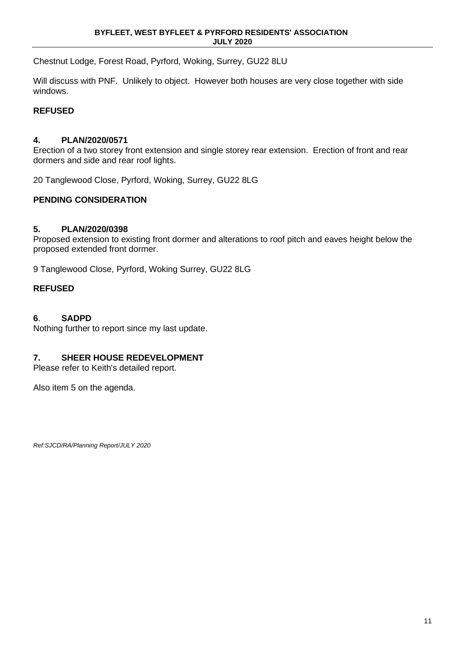Chestnut Lodge, Forest Road, Pyrford, Woking, Surrey, GU22 8LU

Will discuss with PNF. Unlikely to object. However both houses are very close together with side windows.

# **REFUSED**

# **4. PLAN/2020/0571**

Erection of a two storey front extension and single storey rear extension. Erection of front and rear dormers and side and rear roof lights.

20 Tanglewood Close, Pyrford, Woking, Surrey, GU22 8LG

# **PENDING CONSIDERATION**

# **5. PLAN/2020/0398**

Proposed extension to existing front dormer and alterations to roof pitch and eaves height below the proposed extended front dormer.

9 Tanglewood Close, Pyrford, Woking Surrey, GU22 8LG

# **REFUSED**

# **6**. **SADPD**

Nothing further to report since my last update.

# **7. SHEER HOUSE REDEVELOPMENT**

Please refer to Keith's detailed report.

Also item 5 on the agenda.

*Ref:SJCD/RA/Planning Report/JULY 2020*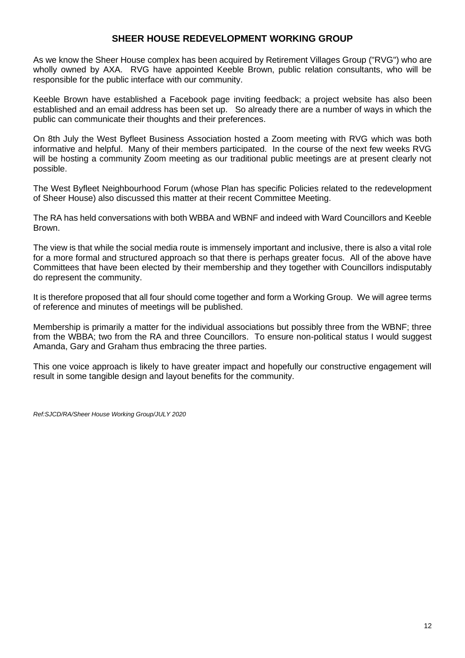# **SHEER HOUSE REDEVELOPMENT WORKING GROUP**

As we know the Sheer House complex has been acquired by Retirement Villages Group ("RVG") who are wholly owned by AXA. RVG have appointed Keeble Brown, public relation consultants, who will be responsible for the public interface with our community.

Keeble Brown have established a Facebook page inviting feedback; a project website has also been established and an email address has been set up. So already there are a number of ways in which the public can communicate their thoughts and their preferences.

On 8th July the West Byfleet Business Association hosted a Zoom meeting with RVG which was both informative and helpful. Many of their members participated. In the course of the next few weeks RVG will be hosting a community Zoom meeting as our traditional public meetings are at present clearly not possible.

The West Byfleet Neighbourhood Forum (whose Plan has specific Policies related to the redevelopment of Sheer House) also discussed this matter at their recent Committee Meeting.

The RA has held conversations with both WBBA and WBNF and indeed with Ward Councillors and Keeble Brown.

The view is that while the social media route is immensely important and inclusive, there is also a vital role for a more formal and structured approach so that there is perhaps greater focus. All of the above have Committees that have been elected by their membership and they together with Councillors indisputably do represent the community.

It is therefore proposed that all four should come together and form a Working Group. We will agree terms of reference and minutes of meetings will be published.

Membership is primarily a matter for the individual associations but possibly three from the WBNF; three from the WBBA; two from the RA and three Councillors. To ensure non-political status I would suggest Amanda, Gary and Graham thus embracing the three parties.

This one voice approach is likely to have greater impact and hopefully our constructive engagement will result in some tangible design and layout benefits for the community.

*Ref:SJCD/RA/Sheer House Working Group/JULY 2020*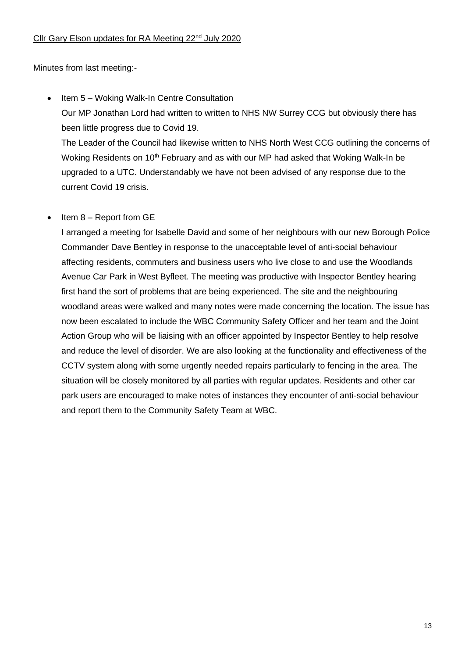# Cllr Gary Elson updates for RA Meeting 22<sup>nd</sup> July 2020

Minutes from last meeting:-

• Item 5 – Woking Walk-In Centre Consultation Our MP Jonathan Lord had written to written to NHS NW Surrey CCG but obviously there has been little progress due to Covid 19. The Leader of the Council had likewise written to NHS North West CCG outlining the concerns of Woking Residents on 10<sup>th</sup> February and as with our MP had asked that Woking Walk-In be

upgraded to a UTC. Understandably we have not been advised of any response due to the

# Item 8 – Report from GE

current Covid 19 crisis.

I arranged a meeting for Isabelle David and some of her neighbours with our new Borough Police Commander Dave Bentley in response to the unacceptable level of anti-social behaviour affecting residents, commuters and business users who live close to and use the Woodlands Avenue Car Park in West Byfleet. The meeting was productive with Inspector Bentley hearing first hand the sort of problems that are being experienced. The site and the neighbouring woodland areas were walked and many notes were made concerning the location. The issue has now been escalated to include the WBC Community Safety Officer and her team and the Joint Action Group who will be liaising with an officer appointed by Inspector Bentley to help resolve and reduce the level of disorder. We are also looking at the functionality and effectiveness of the CCTV system along with some urgently needed repairs particularly to fencing in the area. The situation will be closely monitored by all parties with regular updates. Residents and other car park users are encouraged to make notes of instances they encounter of anti-social behaviour and report them to the Community Safety Team at WBC.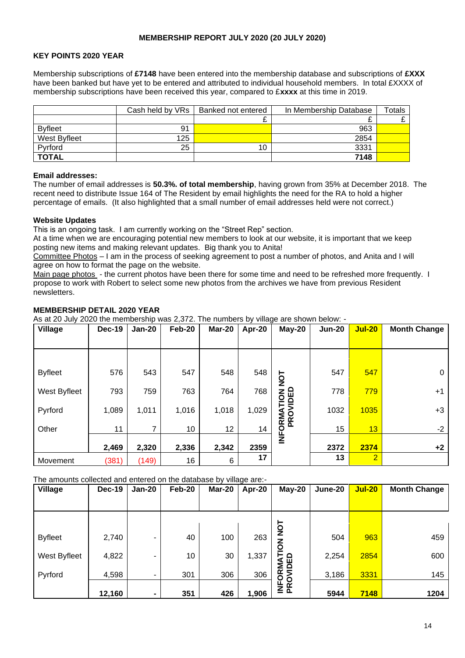### **MEMBERSHIP REPORT JULY 2020 (20 JULY 2020)**

# **KEY POINTS 2020 YEAR**

Membership subscriptions of **£7148** have been entered into the membership database and subscriptions of **£XXX**  have been banked but have yet to be entered and attributed to individual household members. In total £XXXX of membership subscriptions have been received this year, compared to £**xxxx** at this time in 2019.

|                | Cash held by VRs | Banked not entered | In Membership Database | $\tau$ otals |
|----------------|------------------|--------------------|------------------------|--------------|
|                |                  |                    |                        |              |
| <b>Byfleet</b> | 91               |                    | 963                    |              |
| West Byfleet   | 125              |                    | 2854                   |              |
| Pyrford        | 25               | 10                 | 3331                   |              |
| <b>TOTAL</b>   |                  |                    | 7148                   |              |

#### **Email addresses:**

The number of email addresses is **50.3%. of total membership**, having grown from 35% at December 2018. The recent need to distribute Issue 164 of The Resident by email highlights the need for the RA to hold a higher percentage of emails. (It also highlighted that a small number of email addresses held were not correct.)

### **Website Updates**

This is an ongoing task. I am currently working on the "Street Rep" section.

At a time when we are encouraging potential new members to look at our website, it is important that we keep posting new items and making relevant updates. Big thank you to Anita!

Committee Photos – I am in the process of seeking agreement to post a number of photos, and Anita and I will agree on how to format the page on the website.

Main page photos - the current photos have been there for some time and need to be refreshed more frequently. I propose to work with Robert to select some new photos from the archives we have from previous Resident newsletters.

### **MEMBERSHIP DETAIL 2020 YEAR**

As at 20 July 2020 the membership was 2,372. The numbers by village are shown below: -

| Village        | <b>Dec-19</b> | <b>Jan-20</b> | <b>Feb-20</b> | Mar-20 | Apr-20 | $May-20$                       | <b>Jun-20</b> | <b>Jul-20</b>  | <b>Month Change</b> |
|----------------|---------------|---------------|---------------|--------|--------|--------------------------------|---------------|----------------|---------------------|
|                |               |               |               |        |        |                                |               |                |                     |
|                |               |               |               |        |        |                                |               |                |                     |
| <b>Byfleet</b> | 576           | 543           | 547           | 548    | 548    | $\overline{5}$                 | 547           | 547            | 0                   |
| West Byfleet   | 793           | 759           | 763           | 764    | 768    |                                | 778           | 779            | $+1$                |
| Pyrford        | 1,089         | 1,011         | 1,016         | 1,018  | 1,029  | <b>INFORMATION</b><br>PROVIDED | 1032          | 1035           | $+3$                |
| Other          | 11            |               | 10            | 12     | 14     |                                | 15            | 13             | $-2$                |
|                | 2,469         | 2,320         | 2,336         | 2,342  | 2359   |                                | 2372          | 2374           | $+2$                |
| Movement       | (381)         | (149)         | 16            | 6      | 17     |                                | 13            | $\overline{2}$ |                     |

### The amounts collected and entered on the database by village are:-

| Village        | Dec-19 | $Jan-20$ | Feb-20 | Mar-20 | Apr-20 | May-20                  | June-20 | <b>Jul-20</b> | <b>Month Change</b> |
|----------------|--------|----------|--------|--------|--------|-------------------------|---------|---------------|---------------------|
|                |        |          |        |        |        |                         |         |               |                     |
|                |        |          |        |        |        | TON                     |         |               |                     |
| <b>Byfleet</b> | 2,740  | ۰        | 40     | 100    | 263    |                         | 504     | 963           | 459                 |
| West Byfleet   | 4,822  | ۰        | 10     | 30     | 1,337  | INFORMATION<br>PROVIDED | 2,254   | 2854          | 600                 |
| Pyrford        | 4,598  | ۰        | 301    | 306    | 306    |                         | 3,186   | 3331          | 145                 |
|                | 12,160 | ۰        | 351    | 426    | 1,906  |                         | 5944    | 7148          | 1204                |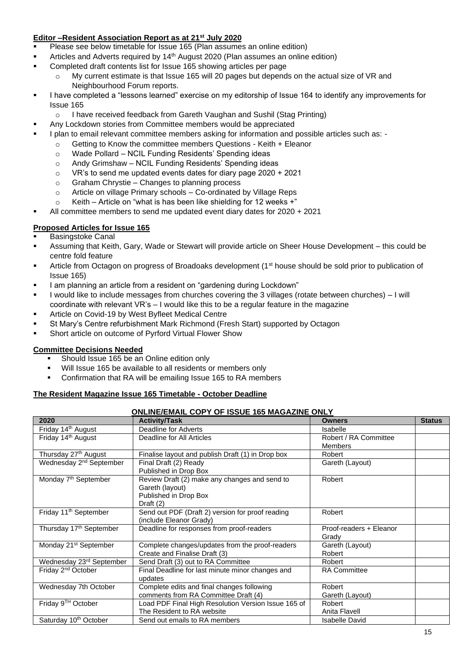# **Editor –Resident Association Report as at 21st July 2020**

- Please see below timetable for Issue 165 (Plan assumes an online edition)
- Articles and Adverts required by 14<sup>th</sup> August 2020 (Plan assumes an online edition)
- Completed draft contents list for Issue 165 showing articles per page
	- o My current estimate is that Issue 165 will 20 pages but depends on the actual size of VR and Neighbourhood Forum reports.
- I have completed a "lessons learned" exercise on my editorship of Issue 164 to identify any improvements for Issue 165
	- o I have received feedback from Gareth Vaughan and Sushil (Stag Printing)
- **■** Any Lockdown stories from Committee members would be appreciated
- I plan to email relevant committee members asking for information and possible articles such as:
	- o Getting to Know the committee members Questions Keith + Eleanor
	- o Wade Pollard NCIL Funding Residents' Spending ideas
	- o Andy Grimshaw NCIL Funding Residents' Spending ideas
	- o VR's to send me updated events dates for diary page 2020 + 2021
	- o Graham Chrystie Changes to planning process
	- o Article on village Primary schools Co-ordinated by Village Reps
	- o Keith Article on "what is has been like shielding for 12 weeks +"
- All committee members to send me updated event diary dates for 2020 + 2021

# **Proposed Articles for Issue 165**

- **Basingstoke Canal**
- Assuming that Keith, Gary, Wade or Stewart will provide article on Sheer House Development this could be centre fold feature
- Article from Octagon on progress of Broadoaks development (1<sup>st</sup> house should be sold prior to publication of Issue 165)
- I am planning an article from a resident on "gardening during Lockdown"
- I would like to include messages from churches covering the 3 villages (rotate between churches) I will coordinate with relevant VR's – I would like this to be a regular feature in the magazine
- Article on Covid-19 by West Byfleet Medical Centre
- St Mary's Centre refurbishment Mark Richmond (Fresh Start) supported by Octagon
- Short article on outcome of Pyrford Virtual Flower Show

### **Committee Decisions Needed**

- Should Issue 165 be an Online edition only
- Will Issue 165 be available to all residents or members only
- Confirmation that RA will be emailing Issue 165 to RA members

### **The Resident Magazine Issue 165 Timetable - October Deadline**

#### **ONLINE/EMAIL COPY OF ISSUE 165 MAGAZINE ONLY**

| 2020                                | <b>Activity/Task</b>                                | <b>Owners</b>           | <b>Status</b> |
|-------------------------------------|-----------------------------------------------------|-------------------------|---------------|
| Friday 14 <sup>th</sup> August      | Deadline for Adverts                                | Isabelle                |               |
| Friday 14 <sup>th</sup> August      | Deadline for All Articles                           | Robert / RA Committee   |               |
|                                     |                                                     | Members                 |               |
| Thursday 27 <sup>th</sup> August    | Finalise layout and publish Draft (1) in Drop box   | Robert                  |               |
| Wednesday 2 <sup>nd</sup> September | Final Draft (2) Ready                               | Gareth (Layout)         |               |
|                                     | Published in Drop Box                               |                         |               |
| Monday 7 <sup>th</sup> September    | Review Draft (2) make any changes and send to       | Robert                  |               |
|                                     | Gareth (layout)                                     |                         |               |
|                                     | Published in Drop Box                               |                         |               |
|                                     | Draft $(2)$                                         |                         |               |
| Friday 11 <sup>th</sup> September   | Send out PDF (Draft 2) version for proof reading    | Robert                  |               |
|                                     | (include Eleanor Grady)                             |                         |               |
| Thursday 17th September             | Deadline for responses from proof-readers           | Proof-readers + Eleanor |               |
|                                     |                                                     | Grady                   |               |
| Monday 21 <sup>st</sup> September   | Complete changes/updates from the proof-readers     | Gareth (Layout)         |               |
|                                     | Create and Finalise Draft (3)                       | Robert                  |               |
| Wednesday 23rd September            | Send Draft (3) out to RA Committee                  | Robert                  |               |
| Friday 2 <sup>nd</sup> October      | Final Deadline for last minute minor changes and    | <b>RA Committee</b>     |               |
|                                     | updates                                             |                         |               |
| Wednesday 7th October               | Complete edits and final changes following          | Robert                  |               |
|                                     | comments from RA Committee Draft (4)                | Gareth (Layout)         |               |
| Friday 9 <sup>TH</sup> October      | Load PDF Final High Resolution Version Issue 165 of | Robert                  |               |
|                                     | The Resident to RA website                          | Anita Flavell           |               |
| Saturday 10 <sup>th</sup> October   | Send out emails to RA members                       | <b>Isabelle David</b>   |               |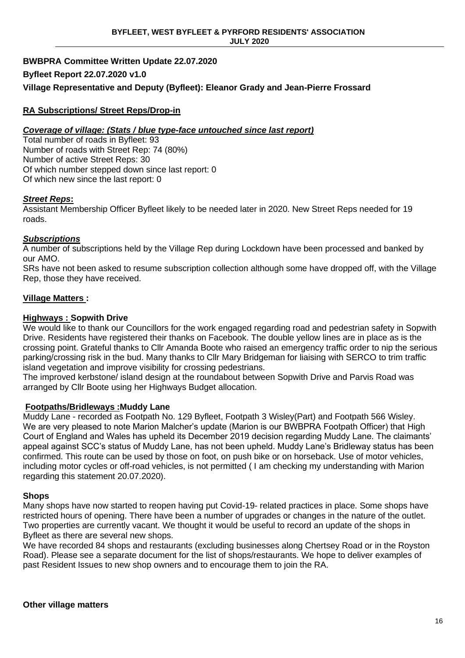# **BWBPRA Committee Written Update 22.07.2020 Byfleet Report 22.07.2020 v1.0 Village Representative and Deputy (Byfleet): Eleanor Grady and Jean-Pierre Frossard**

# **RA Subscriptions/ Street Reps/Drop-in**

# *Coverage of village: (Stats / blue type-face untouched since last report)*

Total number of roads in Byfleet: 93 Number of roads with Street Rep: 74 (80%) Number of active Street Reps: 30 Of which number stepped down since last report: 0 Of which new since the last report: 0

# *Street Reps***:**

Assistant Membership Officer Byfleet likely to be needed later in 2020. New Street Reps needed for 19 roads.

# *Subscriptions*

A number of subscriptions held by the Village Rep during Lockdown have been processed and banked by our AMO.

SRs have not been asked to resume subscription collection although some have dropped off, with the Village Rep, those they have received.

# **Village Matters :**

# **Highways : Sopwith Drive**

We would like to thank our Councillors for the work engaged regarding road and pedestrian safety in Sopwith Drive. Residents have registered their thanks on Facebook. The double yellow lines are in place as is the crossing point. Grateful thanks to Cllr Amanda Boote who raised an emergency traffic order to nip the serious parking/crossing risk in the bud. Many thanks to Cllr Mary Bridgeman for liaising with SERCO to trim traffic island vegetation and improve visibility for crossing pedestrians.

The improved kerbstone/ island design at the roundabout between Sopwith Drive and Parvis Road was arranged by Cllr Boote using her Highways Budget allocation.

# **Footpaths/Bridleways :Muddy Lane**

Muddy Lane - recorded as Footpath No. 129 Byfleet, Footpath 3 Wisley(Part) and Footpath 566 Wisley. We are very pleased to note Marion Malcher's update (Marion is our BWBPRA Footpath Officer) that High Court of England and Wales has upheld its December 2019 decision regarding Muddy Lane. The claimants' appeal against SCC's status of Muddy Lane, has not been upheld. Muddy Lane's Bridleway status has been confirmed. This route can be used by those on foot, on push bike or on horseback. Use of motor vehicles, including motor cycles or off-road vehicles, is not permitted ( I am checking my understanding with Marion regarding this statement 20.07.2020).

# **Shops**

Many shops have now started to reopen having put Covid-19- related practices in place. Some shops have restricted hours of opening. There have been a number of upgrades or changes in the nature of the outlet. Two properties are currently vacant. We thought it would be useful to record an update of the shops in Byfleet as there are several new shops.

We have recorded 84 shops and restaurants (excluding businesses along Chertsey Road or in the Royston Road). Please see a separate document for the list of shops/restaurants. We hope to deliver examples of past Resident Issues to new shop owners and to encourage them to join the RA.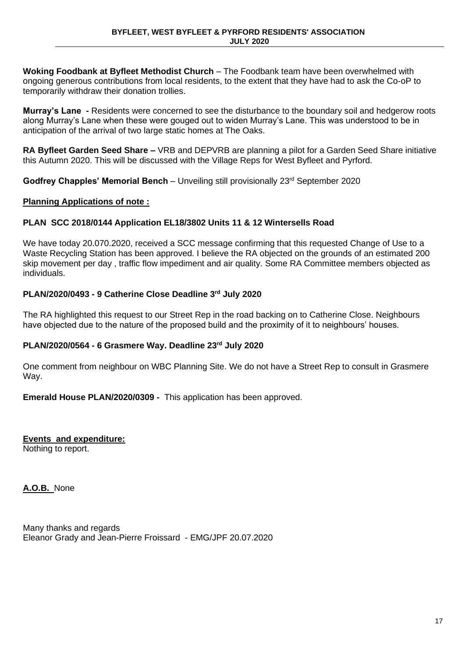**Woking Foodbank at Byfleet Methodist Church** – The Foodbank team have been overwhelmed with ongoing generous contributions from local residents, to the extent that they have had to ask the Co-oP to temporarily withdraw their donation trollies.

**Murray's Lane -** Residents were concerned to see the disturbance to the boundary soil and hedgerow roots along Murray's Lane when these were gouged out to widen Murray's Lane. This was understood to be in anticipation of the arrival of two large static homes at The Oaks.

**RA Byfleet Garden Seed Share –** VRB and DEPVRB are planning a pilot for a Garden Seed Share initiative this Autumn 2020. This will be discussed with the Village Reps for West Byfleet and Pyrford.

**Godfrey Chapples' Memorial Bench** – Unveiling still provisionally 23rd September 2020

# **Planning Applications of note :**

# **PLAN SCC 2018/0144 Application EL18/3802 Units 11 & 12 Wintersells Road**

We have today 20.070.2020, received a SCC message confirming that this requested Change of Use to a Waste Recycling Station has been approved. I believe the RA objected on the grounds of an estimated 200 skip movement per day , traffic flow impediment and air quality. Some RA Committee members objected as individuals.

# **PLAN/2020/0493 - 9 Catherine Close Deadline 3rd July 2020**

The RA highlighted this request to our Street Rep in the road backing on to Catherine Close. Neighbours have objected due to the nature of the proposed build and the proximity of it to neighbours' houses.

# **PLAN/2020/0564 - 6 Grasmere Way. Deadline 23rd July 2020**

One comment from neighbour on WBC Planning Site. We do not have a Street Rep to consult in Grasmere Way.

**Emerald House PLAN/2020/0309 -** This application has been approved.

**Events and expenditure:** Nothing to report.

**A.O.B.** None

Many thanks and regards Eleanor Grady and Jean-Pierre Froissard - EMG/JPF 20.07.2020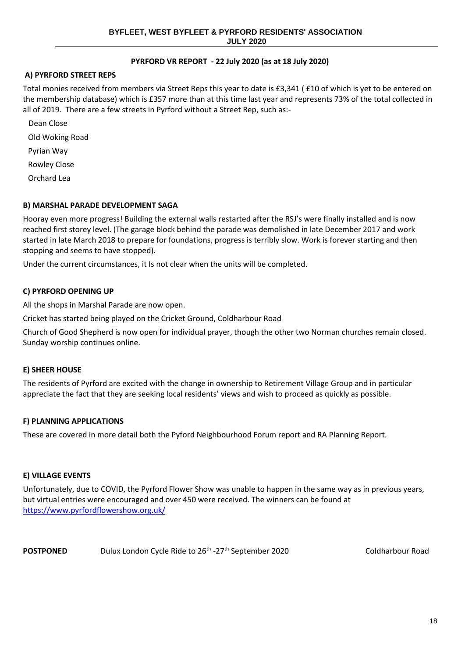# **PYRFORD VR REPORT - 22 July 2020 (as at 18 July 2020)**

# **A) PYRFORD STREET REPS**

Total monies received from members via Street Reps this year to date is £3,341 ( £10 of which is yet to be entered on the membership database) which is £357 more than at this time last year and represents 73% of the total collected in all of 2019. There are a few streets in Pyrford without a Street Rep, such as:-

- Dean Close Old Woking Road Pyrian Way Rowley Close
- 

Orchard Lea

# **B) MARSHAL PARADE DEVELOPMENT SAGA**

Hooray even more progress! Building the external walls restarted after the RSJ's were finally installed and is now reached first storey level. (The garage block behind the parade was demolished in late December 2017 and work started in late March 2018 to prepare for foundations, progress is terribly slow. Work is forever starting and then stopping and seems to have stopped).

Under the current circumstances, it Is not clear when the units will be completed.

### **C) PYRFORD OPENING UP**

All the shops in Marshal Parade are now open.

Cricket has started being played on the Cricket Ground, Coldharbour Road

Church of Good Shepherd is now open for individual prayer, though the other two Norman churches remain closed. Sunday worship continues online.

### **E) SHEER HOUSE**

The residents of Pyrford are excited with the change in ownership to Retirement Village Group and in particular appreciate the fact that they are seeking local residents' views and wish to proceed as quickly as possible.

### **F) PLANNING APPLICATIONS**

These are covered in more detail both the Pyford Neighbourhood Forum report and RA Planning Report.

### **E) VILLAGE EVENTS**

Unfortunately, due to COVID, the Pyrford Flower Show was unable to happen in the same way as in previous years, but virtual entries were encouraged and over 450 were received. The winners can be found at <https://www.pyrfordflowershow.org.uk/>

POSTPONED **Dulux London Cycle Ride to 26<sup>th</sup> -27<sup>th</sup> September 2020** Coldharbour Road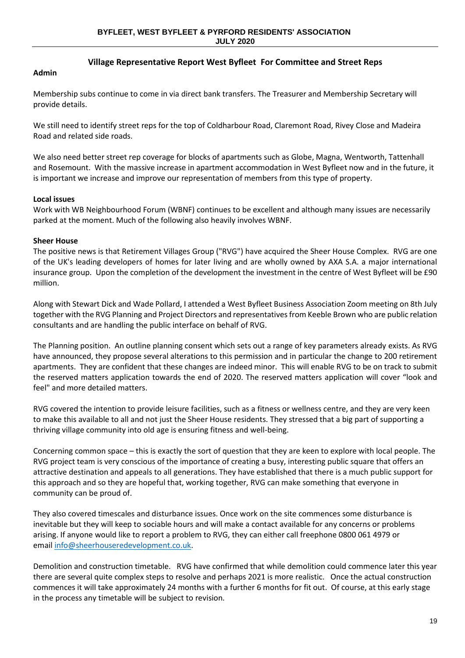# **Village Representative Report West Byfleet For Committee and Street Reps**

### **Admin**

Membership subs continue to come in via direct bank transfers. The Treasurer and Membership Secretary will provide details.

We still need to identify street reps for the top of Coldharbour Road, Claremont Road, Rivey Close and Madeira Road and related side roads.

We also need better street rep coverage for blocks of apartments such as Globe, Magna, Wentworth, Tattenhall and Rosemount. With the massive increase in apartment accommodation in West Byfleet now and in the future, it is important we increase and improve our representation of members from this type of property.

### **Local issues**

Work with WB Neighbourhood Forum (WBNF) continues to be excellent and although many issues are necessarily parked at the moment. Much of the following also heavily involves WBNF.

# **Sheer House**

The positive news is that Retirement Villages Group ("RVG") have acquired the Sheer House Complex. RVG are one of the UK's leading developers of homes for later living and are wholly owned by AXA S.A. a major international insurance group. Upon the completion of the development the investment in the centre of West Byfleet will be £90 million.

Along with Stewart Dick and Wade Pollard, I attended a West Byfleet Business Association Zoom meeting on 8th July together with the RVG Planning and Project Directors and representatives from Keeble Brown who are public relation consultants and are handling the public interface on behalf of RVG.

The Planning position. An outline planning consent which sets out a range of key parameters already exists. As RVG have announced, they propose several alterations to this permission and in particular the change to 200 retirement apartments. They are confident that these changes are indeed minor. This will enable RVG to be on track to submit the reserved matters application towards the end of 2020. The reserved matters application will cover "look and feel" and more detailed matters.

RVG covered the intention to provide leisure facilities, such as a fitness or wellness centre, and they are very keen to make this available to all and not just the Sheer House residents. They stressed that a big part of supporting a thriving village community into old age is ensuring fitness and well-being.

Concerning common space – this is exactly the sort of question that they are keen to explore with local people. The RVG project team is very conscious of the importance of creating a busy, interesting public square that offers an attractive destination and appeals to all generations. They have established that there is a much public support for this approach and so they are hopeful that, working together, RVG can make something that everyone in community can be proud of.

They also covered timescales and disturbance issues. Once work on the site commences some disturbance is inevitable but they will keep to sociable hours and will make a contact available for any concerns or problems arising. If anyone would like to report a problem to RVG, they can either call freephone 0800 061 4979 or email [info@sheerhouseredevelopment.co.uk.](mailto:info@sheerhouseredevelopment.co.uk)

Demolition and construction timetable. RVG have confirmed that while demolition could commence later this year there are several quite complex steps to resolve and perhaps 2021 is more realistic. Once the actual construction commences it will take approximately 24 months with a further 6 months for fit out. Of course, at this early stage in the process any timetable will be subject to revision.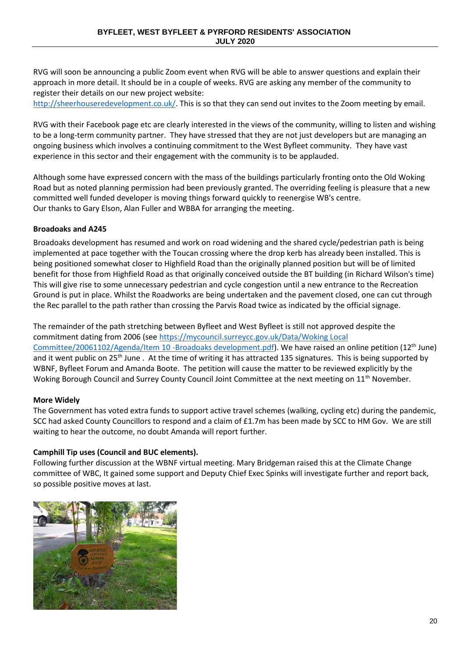RVG will soon be announcing a public Zoom event when RVG will be able to answer questions and explain their approach in more detail. It should be in a couple of weeks. RVG are asking any member of the community to register their details on our new project website:

[http://sheerhouseredevelopment.co.uk/.](http://sheerhouseredevelopment.co.uk/) This is so that they can send out invites to the Zoom meeting by email.

RVG with their Facebook page etc are clearly interested in the views of the community, willing to listen and wishing to be a long-term community partner. They have stressed that they are not just developers but are managing an ongoing business which involves a continuing commitment to the West Byfleet community. They have vast experience in this sector and their engagement with the community is to be applauded.

Although some have expressed concern with the mass of the buildings particularly fronting onto the Old Woking Road but as noted planning permission had been previously granted. The overriding feeling is pleasure that a new committed well funded developer is moving things forward quickly to reenergise WB's centre. Our thanks to Gary Elson, Alan Fuller and WBBA for arranging the meeting.

# **Broadoaks and A245**

Broadoaks development has resumed and work on road widening and the shared cycle/pedestrian path is being implemented at pace together with the Toucan crossing where the drop kerb has already been installed. This is being positioned somewhat closer to Highfield Road than the originally planned position but will be of limited benefit for those from Highfield Road as that originally conceived outside the BT building (in Richard Wilson's time) This will give rise to some unnecessary pedestrian and cycle congestion until a new entrance to the Recreation Ground is put in place. Whilst the Roadworks are being undertaken and the pavement closed, one can cut through the Rec parallel to the path rather than crossing the Parvis Road twice as indicated by the official signage.

The remainder of the path stretching between Byfleet and West Byfleet is still not approved despite the commitment dating from 2006 (see [https://mycouncil.surreycc.gov.uk/Data/Woking Local](https://mycouncil.surreycc.gov.uk/Data/Woking%20Local%20Committee/20061102/Agenda/Item%2010%20-Broadoaks%20development.pdf)  [Committee/20061102/Agenda/Item 10 -Broadoaks development.pdf\)](https://mycouncil.surreycc.gov.uk/Data/Woking%20Local%20Committee/20061102/Agenda/Item%2010%20-Broadoaks%20development.pdf). We have raised an online petition (12th June) and it went public on 25<sup>th</sup> June . At the time of writing it has attracted 135 signatures. This is being supported by WBNF, Byfleet Forum and Amanda Boote. The petition will cause the matter to be reviewed explicitly by the Woking Borough Council and Surrey County Council Joint Committee at the next meeting on 11<sup>th</sup> November.

### **More Widely**

The Government has voted extra funds to support active travel schemes (walking, cycling etc) during the pandemic, SCC had asked County Councillors to respond and a claim of £1.7m has been made by SCC to HM Gov. We are still waiting to hear the outcome, no doubt Amanda will report further.

# **Camphill Tip uses (Council and BUC elements).**

Following further discussion at the WBNF virtual meeting. Mary Bridgeman raised this at the Climate Change committee of WBC, It gained some support and Deputy Chief Exec Spinks will investigate further and report back, so possible positive moves at last.

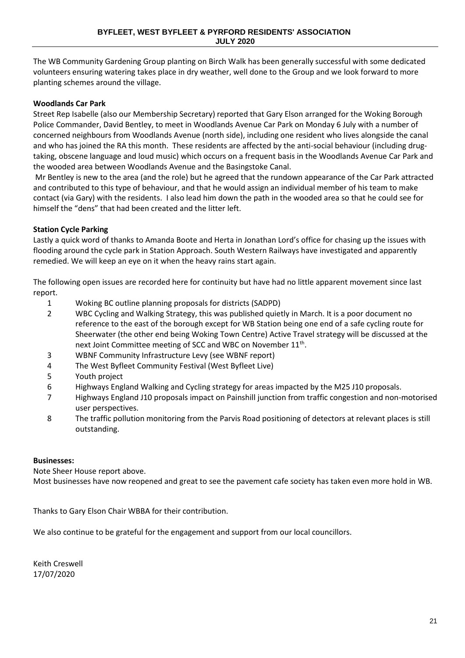The WB Community Gardening Group planting on Birch Walk has been generally successful with some dedicated volunteers ensuring watering takes place in dry weather, well done to the Group and we look forward to more planting schemes around the village.

# **Woodlands Car Park**

Street Rep Isabelle (also our Membership Secretary) reported that Gary Elson arranged for the Woking Borough Police Commander, David Bentley, to meet in Woodlands Avenue Car Park on Monday 6 July with a number of concerned neighbours from Woodlands Avenue (north side), including one resident who lives alongside the canal and who has joined the RA this month. These residents are affected by the anti-social behaviour (including drugtaking, obscene language and loud music) which occurs on a frequent basis in the Woodlands Avenue Car Park and the wooded area between Woodlands Avenue and the Basingstoke Canal.

Mr Bentley is new to the area (and the role) but he agreed that the rundown appearance of the Car Park attracted and contributed to this type of behaviour, and that he would assign an individual member of his team to make contact (via Gary) with the residents. I also lead him down the path in the wooded area so that he could see for himself the "dens" that had been created and the litter left.

# **Station Cycle Parking**

Lastly a quick word of thanks to Amanda Boote and Herta in Jonathan Lord's office for chasing up the issues with flooding around the cycle park in Station Approach. South Western Railways have investigated and apparently remedied. We will keep an eye on it when the heavy rains start again.

The following open issues are recorded here for continuity but have had no little apparent movement since last report.

- 1 Woking BC outline planning proposals for districts (SADPD)
- 2 WBC Cycling and Walking Strategy, this was published quietly in March. It is a poor document no reference to the east of the borough except for WB Station being one end of a safe cycling route for Sheerwater (the other end being Woking Town Centre) Active Travel strategy will be discussed at the next Joint Committee meeting of SCC and WBC on November 11<sup>th</sup>.
- 3 WBNF Community Infrastructure Levy (see WBNF report)
- 4 The West Byfleet Community Festival (West Byfleet Live)
- 5 Youth project
- 6 Highways England Walking and Cycling strategy for areas impacted by the M25 J10 proposals.
- 7 Highways England J10 proposals impact on Painshill junction from traffic congestion and non-motorised user perspectives.
- 8 The traffic pollution monitoring from the Parvis Road positioning of detectors at relevant places is still outstanding.

# **Businesses:**

Note Sheer House report above.

Most businesses have now reopened and great to see the pavement cafe society has taken even more hold in WB.

Thanks to Gary Elson Chair WBBA for their contribution.

We also continue to be grateful for the engagement and support from our local councillors.

Keith Creswell 17/07/2020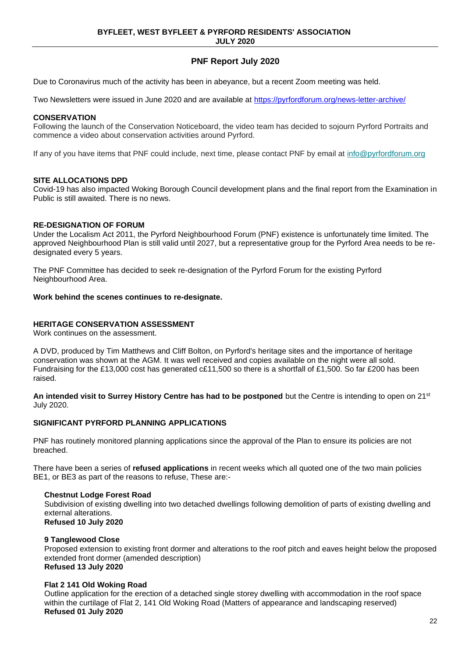# **PNF Report July 2020**

Due to Coronavirus much of the activity has been in abeyance, but a recent Zoom meeting was held.

Two Newsletters were issued in June 2020 and are available at <https://pyrfordforum.org/news-letter-archive/>

### **CONSERVATION**

Following the launch of the Conservation Noticeboard, the video team has decided to sojourn Pyrford Portraits and commence a video about conservation activities around Pyrford.

If any of you have items that PNF could include, next time, please contact PNF by email at [info@pyrfordforum.org](mailto:info@pyrfordforum.org)

#### **SITE ALLOCATIONS DPD**

Covid-19 has also impacted Woking Borough Council development plans and the final report from the Examination in Public is still awaited. There is no news.

#### **RE-DESIGNATION OF FORUM**

Under the Localism Act 2011, the Pyrford Neighbourhood Forum (PNF) existence is unfortunately time limited. The approved Neighbourhood Plan is still valid until 2027, but a representative group for the Pyrford Area needs to be redesignated every 5 years.

The PNF Committee has decided to seek re-designation of the Pyrford Forum for the existing Pyrford Neighbourhood Area.

#### **Work behind the scenes continues to re-designate.**

### **HERITAGE CONSERVATION ASSESSMENT**

Work continues on the assessment.

A DVD, produced by Tim Matthews and Cliff Bolton, on Pyrford's heritage sites and the importance of heritage conservation was shown at the AGM. It was well received and copies available on the night were all sold. Fundraising for the £13,000 cost has generated c£11,500 so there is a shortfall of £1,500. So far £200 has been raised.

**An intended visit to Surrey History Centre has had to be postponed** but the Centre is intending to open on 21st July 2020.

### **SIGNIFICANT PYRFORD PLANNING APPLICATIONS**

PNF has routinely monitored planning applications since the approval of the Plan to ensure its policies are not breached.

There have been a series of **refused applications** in recent weeks which all quoted one of the two main policies BE1, or BE3 as part of the reasons to refuse, These are:-

#### **Chestnut Lodge Forest Road**

Subdivision of existing dwelling into two detached dwellings following demolition of parts of existing dwelling and external alterations. **Refused 10 July 2020**

### **9 Tanglewood Close**

Proposed extension to existing front dormer and alterations to the roof pitch and eaves height below the proposed extended front dormer (amended description) **Refused 13 July 2020**

### **Flat 2 141 Old Woking Road**

Outline application for the erection of a detached single storey dwelling with accommodation in the roof space within the curtilage of Flat 2, 141 Old Woking Road (Matters of appearance and landscaping reserved) **Refused 01 July 2020**